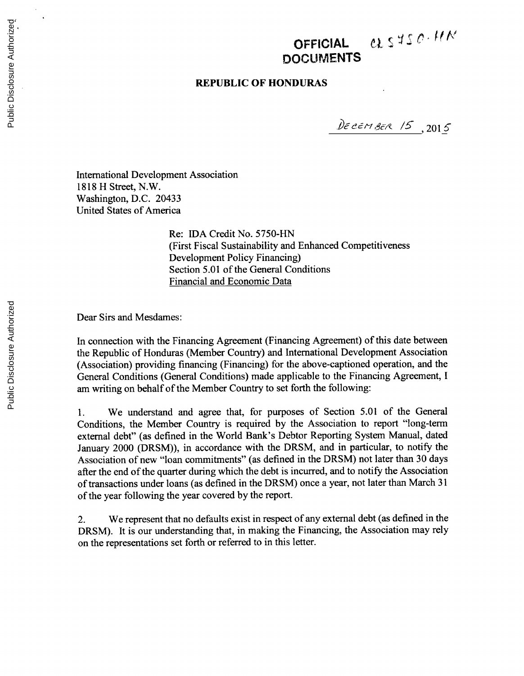# OFFICIAL *el* SVSO-HN **DOCUMENTS**

### **REPUBLIC OF HONDURAS**

DECEMBER 15, 2015

International Development Association **1818** H Street, N.W. Washington, **D.C.** 20433 United States of America

> Re: **IDA** Credit No. **5750-HN** (First Fiscal Sustainability and Enhanced Competitiveness Development Policy Financing) Section **5.01** of the General Conditions Financial and Economic Data

Dear Sirs and Mesdames:

In connection with the Financing Agreement (Financing Agreement) of this date between the Republic of Honduras (Member Country) and International Development Association (Association) providing financing (Financing) for the above-captioned operation, and the General Conditions (General Conditions) made applicable to the Financing Agreement, **<sup>I</sup>** am writing on behalf of the Member Country to set forth the following:

**1.** We understand and agree that, for purposes of Section *5.01* of the General Conditions, the Member Country is required **by** the Association to report "long-term external debt" (as defined in the World Bank's Debtor Reporting System Manual, dated January 2000 (DRSM)), in accordance with the DRSM, and in particular, to notify the Association of new "loan commitments" (as defined in the DRSM) not later than **30** days after the end of the quarter during which the debt is incurred, and to notify the Association of transactions under loans (as defined in the DRSM) once a year, not later than March **31** of the year following the year covered **by** the report.

2. We represent that no defaults exist in respect of any external debt (as defined in the DRSM). It is our understanding that, in making the Financing, the Association may rely on the representations set forth or referred to in this letter.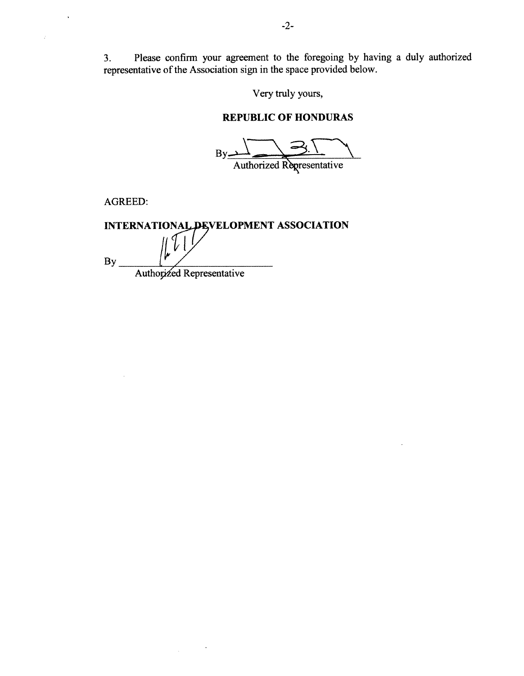3. Please confirm your agreement to the foregoing by having a duly authorized representative of the Association sign in the space provided below. representative of the Association sign in the space provided be-

Very truly yours,

### **REPUBLIC OF HONDURAS**

By Authorized Regresentative

AGREED:

 $\bar{\mathbf{r}}$ 

J.

 $\mathbf{H}^{\mathcal{S}}$ **VELOPMENT ASSOCIATION By\_** \_ \_ \_ Authooled Representative

 $\mathcal{A}$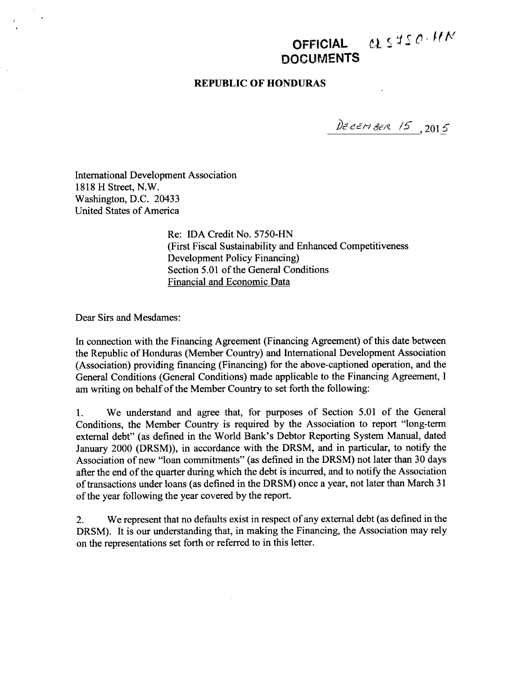## **OFFICIAL** *C1*  **DOCUMENTS**

### **REPUBLIC OF HONDURAS**

 $D\epsilon$ cem BER 15, 2015

International Development Association **1818** H Street, N.W. Washington, **D.C.** 20433 United States of America

> Re: **IDA** Credit No. **5750-HN** (First Fiscal Sustainability and Enhanced Competitiveness Development Policy Financing) Section **5.01** of the General Conditions Financial and Economic Data

Dear Sirs and Mesdames:

In connection with the Financing Agreement (Financing Agreement) of this date between the Republic of Honduras (Member Country) and International Development Association (Association) providing financing (Financing) for the above-captioned operation, and the General Conditions (General Conditions) made applicable to the Financing Agreement, **I** am writing on behalf of the Member Country to set forth the following:

**1.** We understand and agree that, for purposes of Section **5.01** of the General Conditions, the Member Country is required **by** the Association to report "long-term external debt" (as defined in the World Bank's Debtor Reporting System Manual, dated January 2000 (DRSM)), in accordance with the DRSM, and in particular, to notify the Association of new "loan commitments" (as defined in the DRSM) not later than **30** days after the end of the quarter during which the debt is incurred, and to notify the Association of transactions under loans (as defined in the DRSM) once a year, not later than March **31** of the year following the year covered **by** the report.

2. We represent that no defaults exist in respect of any external debt (as defined in the DRSM). It is our understanding that, in making the Financing, the Association may rely on the representations set forth or referred to in this letter.